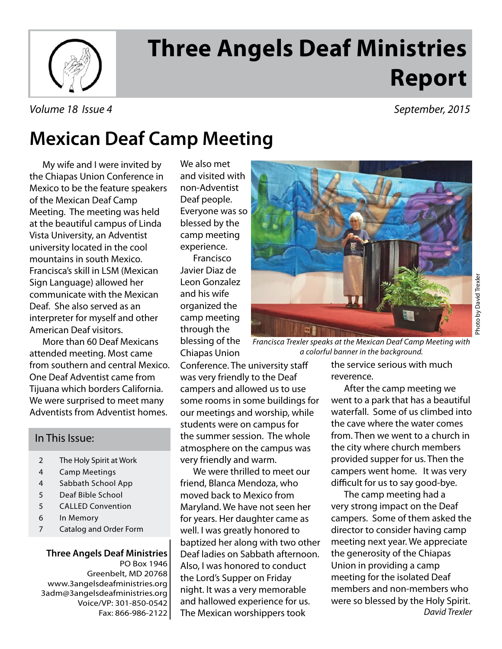

# **Three Angels Deaf Ministries Report**

#### Volume 18 Issue 4 September, 2015

## **Mexican Deaf Camp Meeting**

My wife and I were invited by the Chiapas Union Conference in Mexico to be the feature speakers of the Mexican Deaf Camp Meeting. The meeting was held at the beautiful campus of Linda Vista University, an Adventist university located in the cool mountains in south Mexico. Francisca's skill in LSM (Mexican Sign Language) allowed her communicate with the Mexican Deaf. She also served as an interpreter for myself and other American Deaf visitors.

 More than 60 Deaf Mexicans attended meeting. Most came from southern and central Mexico. One Deaf Adventist came from Tijuana which borders California. We were surprised to meet many Adventists from Adventist homes.

#### In This Issue:

- 2 The Holy Spirit at Work
- 4 Camp Meetings
- 4 Sabbath School App
- 5 Deaf Bible School
- 5 CALLED Convention
- 6 In Memory
- 7 Catalog and Order Form

**Three Angels Deaf Ministries** PO Box 1946 Greenbelt, MD 20768 www.3angelsdeafministries.org 3adm@3angelsdeafministries.org Voice/VP: 301-850-0542 Fax: 866-986-2122 We also met and visited with non-Adventist Deaf people. Everyone was so blessed by the camp meeting experience.

 Francisco Javier Diaz de Leon Gonzalez and his wife organized the camp meeting through the blessing of the Chiapas Union

Conference. The university staff was very friendly to the Deaf campers and allowed us to use some rooms in some buildings for our meetings and worship, while students were on campus for the summer session. The whole atmosphere on the campus was very friendly and warm.

 We were thrilled to meet our friend, Blanca Mendoza, who moved back to Mexico from Maryland. We have not seen her for years. Her daughter came as well. I was greatly honored to baptized her along with two other Deaf ladies on Sabbath afternoon. Also, I was honored to conduct the Lord's Supper on Friday night. It was a very memorable and hallowed experience for us. The Mexican worshippers took



Francisca Trexler speaks at the Mexican Deaf Camp Meeting with a colorful banner in the background.

the service serious with much reverence.

 After the camp meeting we went to a park that has a beautiful waterfall. Some of us climbed into the cave where the water comes from. Then we went to a church in the city where church members provided supper for us. Then the campers went home. It was very difficult for us to say good-bye.

 The camp meeting had a very strong impact on the Deaf campers. Some of them asked the director to consider having camp meeting next year. We appreciate the generosity of the Chiapas Union in providing a camp meeting for the isolated Deaf members and non-members who were so blessed by the Holy Spirit. David Trexler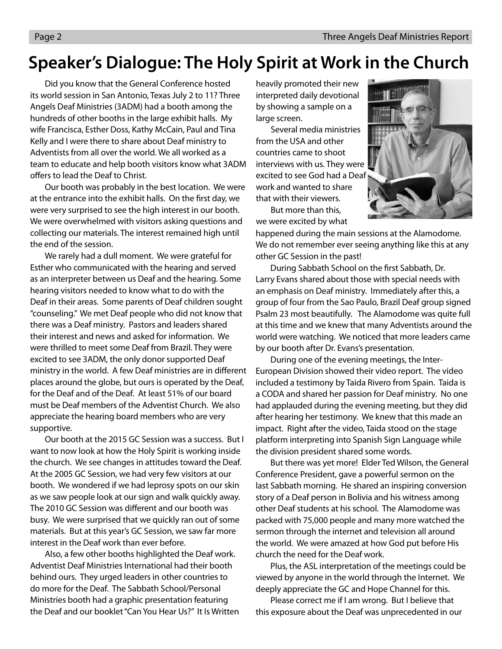#### **Speaker's Dialogue: The Holy Spirit at Work in the Church**

 Did you know that the General Conference hosted its world session in San Antonio, Texas July 2 to 11? Three Angels Deaf Ministries (3ADM) had a booth among the hundreds of other booths in the large exhibit halls. My wife Francisca, Esther Doss, Kathy McCain, Paul and Tina Kelly and I were there to share about Deaf ministry to Adventists from all over the world. We all worked as a team to educate and help booth visitors know what 3ADM offers to lead the Deaf to Christ.

 Our booth was probably in the best location. We were at the entrance into the exhibit halls. On the first day, we were very surprised to see the high interest in our booth. We were overwhelmed with visitors asking questions and collecting our materials. The interest remained high until the end of the session.

 We rarely had a dull moment. We were grateful for Esther who communicated with the hearing and served as an interpreter between us Deaf and the hearing. Some hearing visitors needed to know what to do with the Deaf in their areas. Some parents of Deaf children sought "counseling." We met Deaf people who did not know that there was a Deaf ministry. Pastors and leaders shared their interest and news and asked for information. We were thrilled to meet some Deaf from Brazil. They were excited to see 3ADM, the only donor supported Deaf ministry in the world. A few Deaf ministries are in different places around the globe, but ours is operated by the Deaf, for the Deaf and of the Deaf. At least 51% of our board must be Deaf members of the Adventist Church. We also appreciate the hearing board members who are very supportive.

 Our booth at the 2015 GC Session was a success. But I want to now look at how the Holy Spirit is working inside the church. We see changes in attitudes toward the Deaf. At the 2005 GC Session, we had very few visitors at our booth. We wondered if we had leprosy spots on our skin as we saw people look at our sign and walk quickly away. The 2010 GC Session was different and our booth was busy. We were surprised that we quickly ran out of some materials. But at this year's GC Session, we saw far more interest in the Deaf work than ever before.

 Also, a few other booths highlighted the Deaf work. Adventist Deaf Ministries International had their booth behind ours. They urged leaders in other countries to do more for the Deaf. The Sabbath School/Personal Ministries booth had a graphic presentation featuring the Deaf and our booklet "Can You Hear Us?" It Is Written heavily promoted their new interpreted daily devotional by showing a sample on a large screen.

 Several media ministries from the USA and other countries came to shoot interviews with us. They were excited to see God had a Deaf work and wanted to share that with their viewers.

 But more than this, we were excited by what

happened during the main sessions at the Alamodome. We do not remember ever seeing anything like this at any other GC Session in the past!

During Sabbath School on the first Sabbath, Dr. Larry Evans shared about those with special needs with an emphasis on Deaf ministry. Immediately after this, a group of four from the Sao Paulo, Brazil Deaf group signed Psalm 23 most beautifully. The Alamodome was quite full at this time and we knew that many Adventists around the world were watching. We noticed that more leaders came by our booth after Dr. Evans's presentation.

 During one of the evening meetings, the Inter-European Division showed their video report. The video included a testimony by Taida Rivero from Spain. Taida is a CODA and shared her passion for Deaf ministry. No one had applauded during the evening meeting, but they did after hearing her testimony. We knew that this made an impact. Right after the video, Taida stood on the stage platform interpreting into Spanish Sign Language while the division president shared some words.

 But there was yet more! Elder Ted Wilson, the General Conference President, gave a powerful sermon on the last Sabbath morning. He shared an inspiring conversion story of a Deaf person in Bolivia and his witness among other Deaf students at his school. The Alamodome was packed with 75,000 people and many more watched the sermon through the internet and television all around the world. We were amazed at how God put before His church the need for the Deaf work.

 Plus, the ASL interpretation of the meetings could be viewed by anyone in the world through the Internet. We deeply appreciate the GC and Hope Channel for this.

 Please correct me if I am wrong. But I believe that this exposure about the Deaf was unprecedented in our

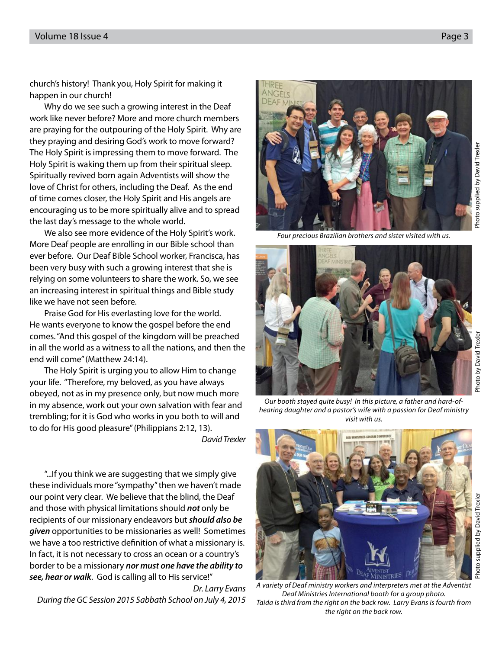church's history! Thank you, Holy Spirit for making it happen in our church!

 Why do we see such a growing interest in the Deaf work like never before? More and more church members are praying for the outpouring of the Holy Spirit. Why are they praying and desiring God's work to move forward? The Holy Spirit is impressing them to move forward. The Holy Spirit is waking them up from their spiritual sleep. Spiritually revived born again Adventists will show the love of Christ for others, including the Deaf. As the end of time comes closer, the Holy Spirit and His angels are encouraging us to be more spiritually alive and to spread the last day's message to the whole world.

 We also see more evidence of the Holy Spirit's work. More Deaf people are enrolling in our Bible school than ever before. Our Deaf Bible School worker, Francisca, has been very busy with such a growing interest that she is relying on some volunteers to share the work. So, we see an increasing interest in spiritual things and Bible study like we have not seen before.

 Praise God for His everlasting love for the world. He wants everyone to know the gospel before the end comes. "And this gospel of the kingdom will be preached in all the world as a witness to all the nations, and then the end will come" (Matthew 24:14).

 The Holy Spirit is urging you to allow Him to change your life. "Therefore, my beloved, as you have always obeyed, not as in my presence only, but now much more in my absence, work out your own salvation with fear and trembling; for it is God who works in you both to will and to do for His good pleasure" (Philippians 2:12, 13).

David Trexler

 "...If you think we are suggesting that we simply give these individuals more "sympathy" then we haven't made our point very clear. We believe that the blind, the Deaf and those with physical limitations should **not** only be recipients of our missionary endeavors but **should also be given** opportunities to be missionaries as well! Sometimes we have a too restrictive definition of what a missionary is. In fact, it is not necessary to cross an ocean or a country's border to be a missionary **nor must one have the ability to see, hear or walk**. God is calling all to His service!"

Dr. Larry Evans During the GC Session 2015 Sabbath School on July 4, 2015

Four precious Brazilian brothers and sister visited with us.

**NGFIS** 

A variety of Deaf ministry workers and interpreters met at the Adventist Deaf Ministries International booth for a group photo. Taida is third from the right on the back row. Larry Evans is fourth from the right on the back row.

Photo supplied by David Trexler

Photo supplied by David Trexler

Photo supplied by David Trexler

Photo supplied by David Trexle





Our booth stayed quite busy! In this picture, a father and hard-ofhearing daughter and a pastor's wife with a passion for Deaf ministry visit with us.

THE CANADA CONFERENC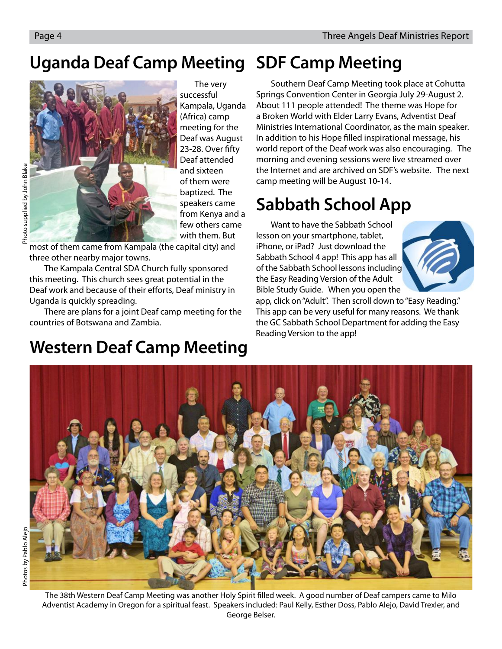## **Uganda Deaf Camp Meeting SDF Camp Meeting**



The very successful Kampala, Uganda (Africa) camp meeting for the Deaf was August 23-28. Over fifty Deaf attended and sixteen of them were baptized. The speakers came from Kenya and a few others came with them. But

most of them came from Kampala (the capital city) and three other nearby major towns.

The Kampala Central SDA Church fully sponsored this meeting. This church sees great potential in the Deaf work and because of their efforts, Deaf ministry in Uganda is quickly spreading.

There are plans for a joint Deaf camp meeting for the countries of Botswana and Zambia.

## **Western Deaf Camp Meeting**

Southern Deaf Camp Meeting took place at Cohutta Springs Convention Center in Georgia July 29-August 2. About 111 people attended! The theme was Hope for a Broken World with Elder Larry Evans, Adventist Deaf Ministries International Coordinator, as the main speaker. In addition to his Hope filled inspirational message, his world report of the Deaf work was also encouraging. The morning and evening sessions were live streamed over the Internet and are archived on SDF's website. The next camp meeting will be August 10-14.

## **Sabbath School App**

Want to have the Sabbath School lesson on your smartphone, tablet, iPhone, or iPad? Just download the Sabbath School 4 app! This app has all of the Sabbath School lessons including the Easy Reading Version of the Adult Bible Study Guide. When you open the



app, click on "Adult". Then scroll down to "Easy Reading." This app can be very useful for many reasons. We thank the GC Sabbath School Department for adding the Easy Reading Version to the app!



The 38th Western Deaf Camp Meeting was another Holy Spirit filled week. A good number of Deaf campers came to Milo Adventist Academy in Oregon for a spiritual feast. Speakers included: Paul Kelly, Esther Doss, Pablo Alejo, David Trexler, and George Belser.

Photo supplied by John Blak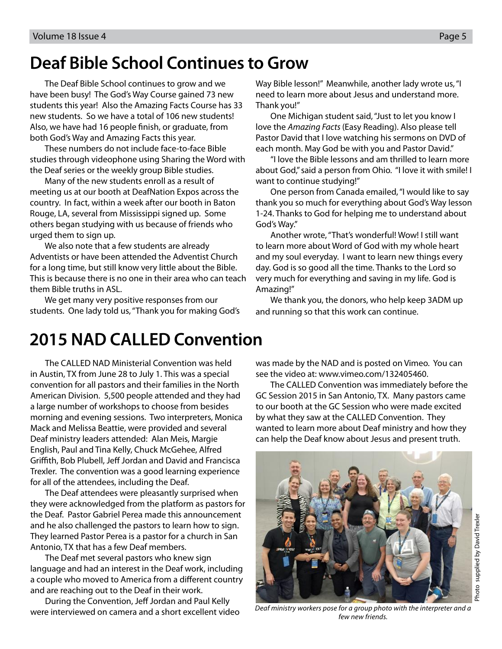## **Deaf Bible School Continues to Grow**

The Deaf Bible School continues to grow and we have been busy! The God's Way Course gained 73 new students this year! Also the Amazing Facts Course has 33 new students. So we have a total of 106 new students! Also, we have had 16 people finish, or graduate, from both God's Way and Amazing Facts this year.

These numbers do not include face-to-face Bible studies through videophone using Sharing the Word with the Deaf series or the weekly group Bible studies.

Many of the new students enroll as a result of meeting us at our booth at DeafNation Expos across the country. In fact, within a week after our booth in Baton Rouge, LA, several from Mississippi signed up. Some others began studying with us because of friends who urged them to sign up.

We also note that a few students are already Adventists or have been attended the Adventist Church for a long time, but still know very little about the Bible. This is because there is no one in their area who can teach them Bible truths in ASL.

We get many very positive responses from our students. One lady told us, "Thank you for making God's Way Bible lesson!" Meanwhile, another lady wrote us, "I need to learn more about Jesus and understand more. Thank you!"

One Michigan student said, "Just to let you know I love the Amazing Facts (Easy Reading). Also please tell Pastor David that I love watching his sermons on DVD of each month. May God be with you and Pastor David."

"I love the Bible lessons and am thrilled to learn more about God," said a person from Ohio. "I love it with smile! I want to continue studying!"

One person from Canada emailed, "I would like to say thank you so much for everything about God's Way lesson 1-24. Thanks to God for helping me to understand about God's Way."

Another wrote, "That's wonderful! Wow! I still want to learn more about Word of God with my whole heart and my soul everyday. I want to learn new things every day. God is so good all the time. Thanks to the Lord so very much for everything and saving in my life. God is Amazing!"

We thank you, the donors, who help keep 3ADM up and running so that this work can continue.

## **2015 NAD CALLED Convention**

The CALLED NAD Ministerial Convention was held in Austin, TX from June 28 to July 1. This was a special convention for all pastors and their families in the North American Division. 5,500 people attended and they had a large number of workshops to choose from besides morning and evening sessions. Two interpreters, Monica Mack and Melissa Beattie, were provided and several Deaf ministry leaders attended: Alan Meis, Margie English, Paul and Tina Kelly, Chuck McGehee, Alfred Griffith, Bob Plubell, Jeff Jordan and David and Francisca Trexler. The convention was a good learning experience for all of the attendees, including the Deaf.

The Deaf attendees were pleasantly surprised when they were acknowledged from the platform as pastors for the Deaf. Pastor Gabriel Perea made this announcement and he also challenged the pastors to learn how to sign. They learned Pastor Perea is a pastor for a church in San Antonio, TX that has a few Deaf members.

 The Deaf met several pastors who knew sign language and had an interest in the Deaf work, including a couple who moved to America from a different country and are reaching out to the Deaf in their work.

During the Convention, Jeff Jordan and Paul Kelly were interviewed on camera and a short excellent video was made by the NAD and is posted on Vimeo. You can see the video at: www.vimeo.com/132405460.

 The CALLED Convention was immediately before the GC Session 2015 in San Antonio, TX. Many pastors came to our booth at the GC Session who were made excited by what they saw at the CALLED Convention. They wanted to learn more about Deaf ministry and how they can help the Deaf know about Jesus and present truth.



Deaf ministry workers pose for a group photo with the interpreter and a few new friends.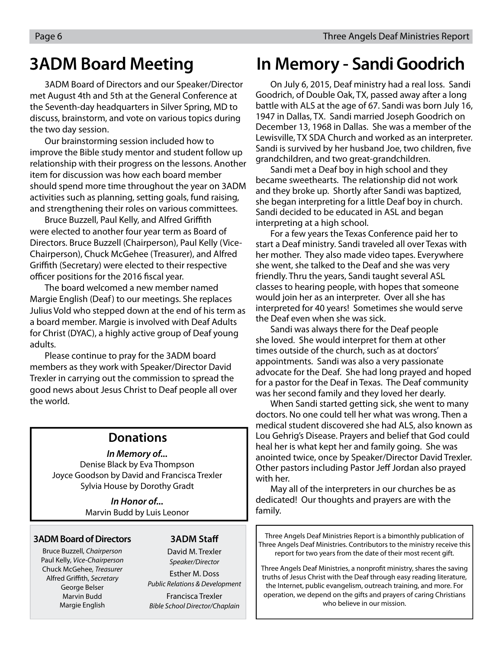3ADM Board of Directors and our Speaker/Director met August 4th and 5th at the General Conference at the Seventh-day headquarters in Silver Spring, MD to discuss, brainstorm, and vote on various topics during the two day session.

Our brainstorming session included how to improve the Bible study mentor and student follow up relationship with their progress on the lessons. Another item for discussion was how each board member should spend more time throughout the year on 3ADM activities such as planning, setting goals, fund raising, and strengthening their roles on various committees.

Bruce Buzzell, Paul Kelly, and Alfred Griffith were elected to another four year term as Board of Directors. Bruce Buzzell (Chairperson), Paul Kelly (Vice-Chairperson), Chuck McGehee (Treasurer), and Alfred Griffith (Secretary) were elected to their respective officer positions for the 2016 fiscal year.

The board welcomed a new member named Margie English (Deaf) to our meetings. She replaces Julius Vold who stepped down at the end of his term as a board member. Margie is involved with Deaf Adults for Christ (DYAC), a highly active group of Deaf young adults.

Please continue to pray for the 3ADM board members as they work with Speaker/Director David Trexler in carrying out the commission to spread the good news about Jesus Christ to Deaf people all over the world.

#### **Donations**

#### **In Memory of...**

Denise Black by Eva Thompson Joyce Goodson by David and Francisca Trexler Sylvia House by Dorothy Gradt

> **In Honor of...** Marvin Budd by Luis Leonor

#### **3ADM Board of Directors**

Bruce Buzzell, Chairperson Paul Kelly, Vice-Chairperson Chuck McGehee, Treasurer Alfred Griffith, Secretary George Belser Marvin Budd Margie English

#### **3ADM Staff**

David M. Trexler Speaker/Director

Esther M. Doss Public Relations & Development Francisca Trexler Bible School Director/Chaplain

### **3ADM Board Meeting In Memory - Sandi Goodrich**

On July 6, 2015, Deaf ministry had a real loss. Sandi Goodrich, of Double Oak, TX, passed away after a long battle with ALS at the age of 67. Sandi was born July 16, 1947 in Dallas, TX. Sandi married Joseph Goodrich on December 13, 1968 in Dallas. She was a member of the Lewisville, TX SDA Church and worked as an interpreter. Sandi is survived by her husband Joe, two children, five grandchildren, and two great-grandchildren.

Sandi met a Deaf boy in high school and they became sweethearts. The relationship did not work and they broke up. Shortly after Sandi was baptized, she began interpreting for a little Deaf boy in church. Sandi decided to be educated in ASL and began interpreting at a high school.

For a few years the Texas Conference paid her to start a Deaf ministry. Sandi traveled all over Texas with her mother. They also made video tapes. Everywhere she went, she talked to the Deaf and she was very friendly. Thru the years, Sandi taught several ASL classes to hearing people, with hopes that someone would join her as an interpreter. Over all she has interpreted for 40 years! Sometimes she would serve the Deaf even when she was sick.

Sandi was always there for the Deaf people she loved. She would interpret for them at other times outside of the church, such as at doctors' appointments. Sandi was also a very passionate advocate for the Deaf. She had long prayed and hoped for a pastor for the Deaf in Texas. The Deaf community was her second family and they loved her dearly.

When Sandi started getting sick, she went to many doctors. No one could tell her what was wrong. Then a medical student discovered she had ALS, also known as Lou Gehrig's Disease. Prayers and belief that God could heal her is what kept her and family going. She was anointed twice, once by Speaker/Director David Trexler. Other pastors including Pastor Jeff Jordan also prayed with her.

May all of the interpreters in our churches be as dedicated! Our thoughts and prayers are with the family.

Three Angels Deaf Ministries Report is a bimonthly publication of Three Angels Deaf Ministries. Contributors to the ministry receive this report for two years from the date of their most recent gift.

Three Angels Deaf Ministries, a nonprofit ministry, shares the saving truths of Jesus Christ with the Deaf through easy reading literature, the Internet, public evangelism, outreach training, and more. For operation, we depend on the gifts and prayers of caring Christians who believe in our mission.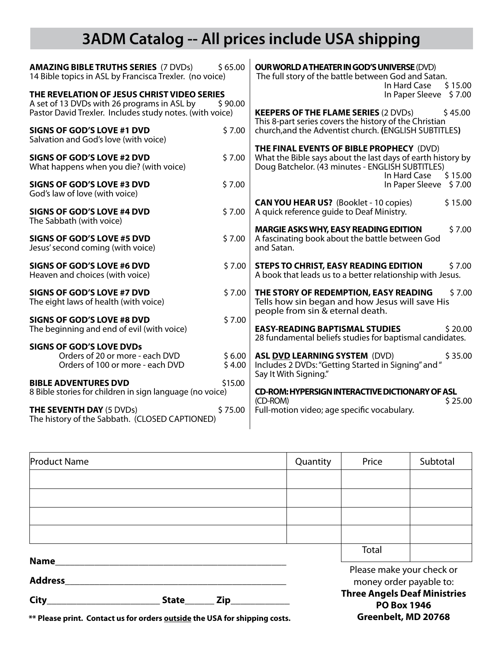## **3ADM Catalog -- All prices include USA shipping**

| <b>AMAZING BIBLE TRUTHS SERIES (7 DVDs)</b><br>14 Bible topics in ASL by Francisca Trexler. (no voice)<br>THE REVELATION OF JESUS CHRIST VIDEO SERIES | <b>OUR WORLD A THEATER IN GOD'S UNIVERSE (DVD)</b><br>The full story of the battle between God and Satan.<br>In Hard Case<br>\$15.00<br>\$7.00<br>In Paper Sleeve |                                                                                                                                            |  |
|-------------------------------------------------------------------------------------------------------------------------------------------------------|-------------------------------------------------------------------------------------------------------------------------------------------------------------------|--------------------------------------------------------------------------------------------------------------------------------------------|--|
| A set of 13 DVDs with 26 programs in ASL by                                                                                                           |                                                                                                                                                                   |                                                                                                                                            |  |
| Pastor David Trexler. Includes study notes. (with voice)                                                                                              | <b>KEEPERS OF THE FLAME SERIES (2 DVDs)</b><br>\$45.00<br>This 8-part series covers the history of the Christian                                                  |                                                                                                                                            |  |
| <b>SIGNS OF GOD'S LOVE #1 DVD</b><br>Salvation and God's love (with voice)                                                                            | \$7.00                                                                                                                                                            | church, and the Adventist church. (ENGLISH SUBTITLES)                                                                                      |  |
|                                                                                                                                                       |                                                                                                                                                                   | THE FINAL EVENTS OF BIBLE PROPHECY (DVD)                                                                                                   |  |
| <b>SIGNS OF GOD'S LOVE #2 DVD</b><br>What happens when you die? (with voice)                                                                          | \$7.00                                                                                                                                                            | What the Bible says about the last days of earth history by<br>Doug Batchelor. (43 minutes - ENGLISH SUBTITLES)<br>In Hard Case<br>\$15.00 |  |
| SIGNS OF GOD'S LOVE #3 DVD<br>God's law of love (with voice)                                                                                          | \$7.00                                                                                                                                                            | In Paper Sleeve<br>\$7.00                                                                                                                  |  |
|                                                                                                                                                       |                                                                                                                                                                   | \$15.00<br><b>CAN YOU HEAR US?</b> (Booklet - 10 copies)                                                                                   |  |
| <b>SIGNS OF GOD'S LOVE #4 DVD</b><br>The Sabbath (with voice)                                                                                         | \$7.00                                                                                                                                                            | A quick reference quide to Deaf Ministry.                                                                                                  |  |
|                                                                                                                                                       |                                                                                                                                                                   | <b>MARGIE ASKS WHY, EASY READING EDITION</b><br>\$7.00                                                                                     |  |
| <b>SIGNS OF GOD'S LOVE #5 DVD</b><br>Jesus' second coming (with voice)                                                                                | \$7.00                                                                                                                                                            | A fascinating book about the battle between God<br>and Satan.                                                                              |  |
| <b>SIGNS OF GOD'S LOVE #6 DVD</b><br>Heaven and choices (with voice)                                                                                  | \$7.00                                                                                                                                                            | <b>STEPS TO CHRIST, EASY READING EDITION</b><br>\$7.00<br>A book that leads us to a better relationship with Jesus.                        |  |
|                                                                                                                                                       |                                                                                                                                                                   |                                                                                                                                            |  |
| SIGNS OF GOD'S LOVE #7 DVD<br>The eight laws of health (with voice)                                                                                   | \$7.00                                                                                                                                                            | THE STORY OF REDEMPTION, EASY READING<br>\$7.00<br>Tells how sin began and how Jesus will save His<br>people from sin & eternal death.     |  |
| <b>SIGNS OF GOD'S LOVE #8 DVD</b>                                                                                                                     | \$7.00                                                                                                                                                            |                                                                                                                                            |  |
| The beginning and end of evil (with voice)                                                                                                            |                                                                                                                                                                   | <b>EASY-READING BAPTISMAL STUDIES</b><br>\$20.00<br>28 fundamental beliefs studies for baptismal candidates.                               |  |
| <b>SIGNS OF GOD'S LOVE DVDs</b>                                                                                                                       |                                                                                                                                                                   |                                                                                                                                            |  |
| Orders of 20 or more - each DVD<br>Orders of 100 or more - each DVD                                                                                   | \$6.00<br>\$4.00                                                                                                                                                  | <b>ASL DVD LEARNING SYSTEM (DVD)</b><br>\$35.00<br>Includes 2 DVDs: "Getting Started in Signing" and "<br>Say It With Signing."            |  |
| <b>BIBLE ADVENTURES DVD</b>                                                                                                                           | \$15.00                                                                                                                                                           |                                                                                                                                            |  |
| 8 Bible stories for children in sign language (no voice)                                                                                              | <b>CD-ROM: HYPERSIGN INTERACTIVE DICTIONARY OF ASL</b>                                                                                                            |                                                                                                                                            |  |
| <b>THE SEVENTH DAY (5 DVDs)</b><br>The history of the Sabbath. (CLOSED CAPTIONED)                                                                     | \$75.00                                                                                                                                                           | \$25.00<br>(CD-ROM)<br>Full-motion video; age specific vocabulary.                                                                         |  |

| <b>Product Name</b>         |  |  | Quantity | Price                                                    | Subtotal                  |  |
|-----------------------------|--|--|----------|----------------------------------------------------------|---------------------------|--|
|                             |  |  |          |                                                          |                           |  |
|                             |  |  |          |                                                          |                           |  |
|                             |  |  |          |                                                          |                           |  |
|                             |  |  |          |                                                          |                           |  |
|                             |  |  |          | Total                                                    |                           |  |
| <b>Name</b>                 |  |  |          |                                                          | Please make your check or |  |
| <b>Address</b>              |  |  |          | money order payable to:                                  |                           |  |
| City<br><b>State</b><br>Zip |  |  |          | <b>Three Angels Deaf Ministries</b><br>$DO$ $Box$ $10/6$ |                           |  |

**\*\* Please print. Contact us for orders outside the USA for shipping costs.**

**PO Box 1946 Greenbelt, MD 20768**